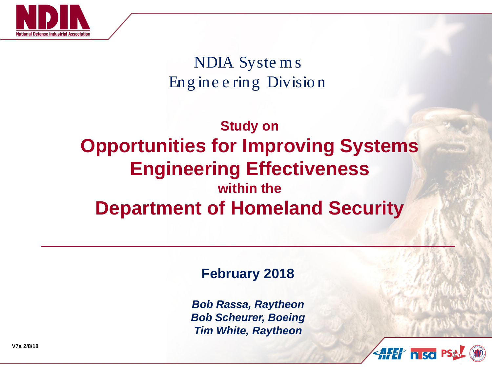

NDIA Syste m s Eng ine e ring Divisio n

#### **Study on Opportunities for Improving Systems Engineering Effectiveness within the Department of Homeland Security**

#### **February 2018**

*Bob Rassa, Raytheon Bob Scheurer, Boeing Tim White, Raytheon*



**V7a 2/8/18**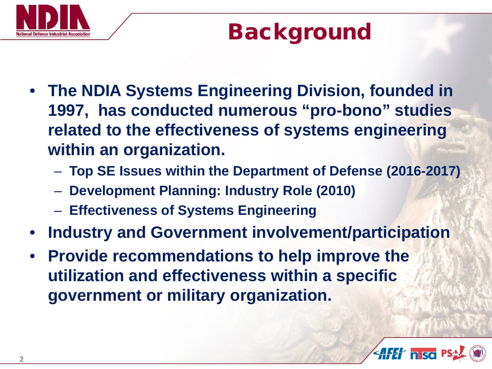

## Background

- **The NDIA Systems Engineering Division, founded in 1997, has conducted numerous "pro-bono" studies related to the effectiveness of systems engineering within an organization.**
	- **Top SE Issues within the Department of Defense (2016-2017)**
	- **Development Planning: Industry Role (2010)**
	- **Effectiveness of Systems Engineering**
- **Industry and Government involvement/participation**
- **Provide recommendations to help improve the utilization and effectiveness within a specific government or military organization.**

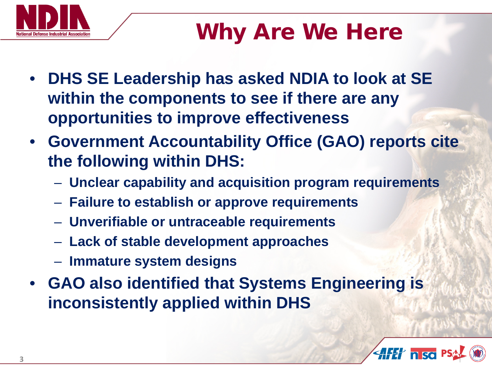

## Why Are We Here

- **DHS SE Leadership has asked NDIA to look at SE within the components to see if there are any opportunities to improve effectiveness**
- **Government Accountability Office (GAO) reports cite the following within DHS:**
	- **Unclear capability and acquisition program requirements**
	- **Failure to establish or approve requirements**
	- **Unverifiable or untraceable requirements**
	- **Lack of stable development approaches**
	- **Immature system designs**
- **GAO also identified that Systems Engineering is inconsistently applied within DHS**

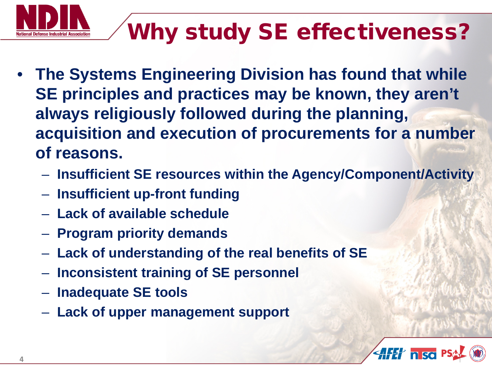

# Why study SE effectiveness?

- **The Systems Engineering Division has found that while SE principles and practices may be known, they aren't always religiously followed during the planning, acquisition and execution of procurements for a number of reasons.**
	- **Insufficient SE resources within the Agency/Component/Activity**
	- **Insufficient up-front funding**
	- **Lack of available schedule**
	- **Program priority demands**
	- **Lack of understanding of the real benefits of SE**
	- **Inconsistent training of SE personnel**
	- **Inadequate SE tools**
	- **Lack of upper management support**

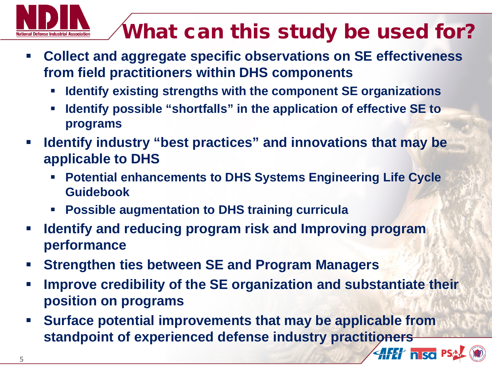

### What can this study be used for?

 $\left\langle \left\| H \right\| \right\rangle$  n so P.

- **Collect and aggregate specific observations on SE effectiveness from field practitioners within DHS components**
	- **Identify existing strengths with the component SE organizations**
	- **Identify possible "shortfalls" in the application of effective SE to programs**
- **Identify industry "best practices" and innovations that may be applicable to DHS**
	- **Potential enhancements to DHS Systems Engineering Life Cycle Guidebook**
	- **Possible augmentation to DHS training curricula**
- **Identify and reducing program risk and Improving program performance**
- **Strengthen ties between SE and Program Managers**
- **Improve credibility of the SE organization and substantiate their position on programs**
- **Surface potential improvements that may be applicable from standpoint of experienced defense industry practitioners**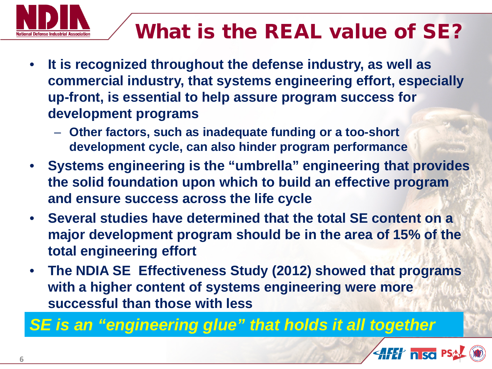

#### What is the REAL value of SE?

- **It is recognized throughout the defense industry, as well as commercial industry, that systems engineering effort, especially up-front, is essential to help assure program success for development programs**
	- **Other factors, such as inadequate funding or a too-short development cycle, can also hinder program performance**
- **Systems engineering is the "umbrella" engineering that provides the solid foundation upon which to build an effective program and ensure success across the life cycle**
- **Several studies have determined that the total SE content on a major development program should be in the area of 15% of the total engineering effort**
- **The NDIA SE Effectiveness Study (2012) showed that programs with a higher content of systems engineering were more successful than those with less**

*SE is an "engineering glue" that holds it all together*

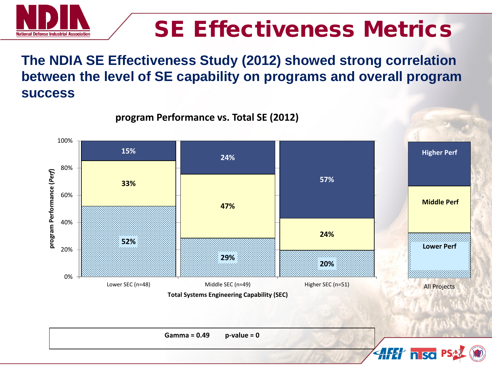

## SE Effectiveness Metrics

**7**

 $4$ *HH* nisc

#### **The NDIA SE Effectiveness Study (2012) showed strong correlation between the level of SE capability on programs and overall program success**

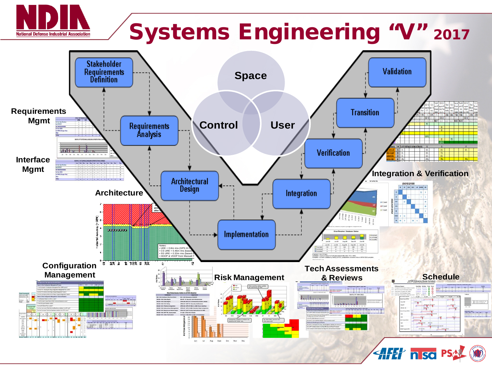

# Systems Engineering "V" 2017

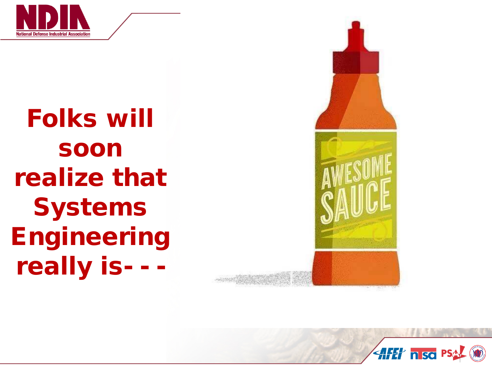

Folks will soon realize that **Systems Engineering** really is- - -



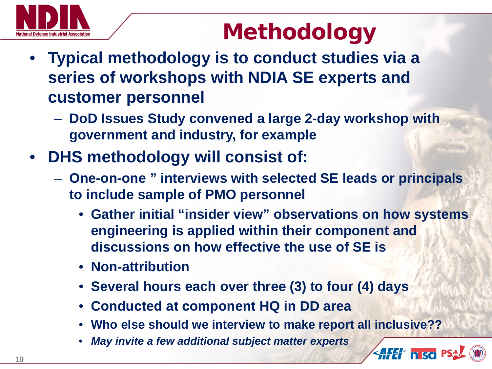

## Methodology

- **Typical methodology is to conduct studies via a series of workshops with NDIA SE experts and customer personnel**
	- **DoD Issues Study convened a large 2-day workshop with government and industry, for example**
- **DHS methodology will consist of:**
	- **One-on-one " interviews with selected SE leads or principals to include sample of PMO personnel**
		- **Gather initial "insider view" observations on how systems engineering is applied within their component and discussions on how effective the use of SE is**
		- **Non-attribution**
		- **Several hours each over three (3) to four (4) days**
		- **Conducted at component HQ in DD area**
		- **Who else should we interview to make report all inclusive??**

**AFET nisc** PS

• *May invite a few additional subject matter experts*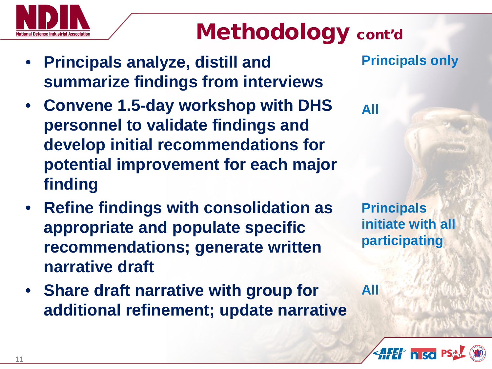## Methodology cont'd

- **Principals analyze, distill and summarize findings from interviews**
- **Convene 1.5-day workshop with DHS personnel to validate findings and develop initial recommendations for potential improvement for each major finding**
- **Refine findings with consolidation as appropriate and populate specific recommendations; generate written narrative draft**
- **Share draft narrative with group for additional refinement; update narrative**

**Principals only**

**All**

**All**

**Principals initiate with all participating**

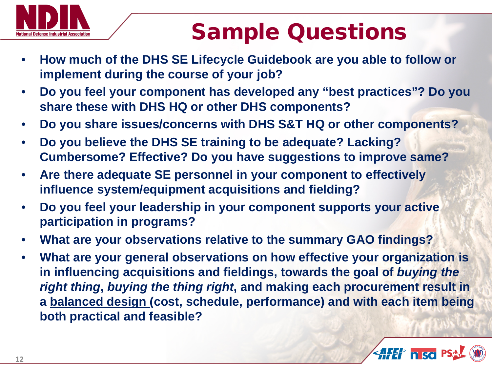

## Sample Questions

- **How much of the DHS SE Lifecycle Guidebook are you able to follow or implement during the course of your job?**
- **Do you feel your component has developed any "best practices"? Do you share these with DHS HQ or other DHS components?**
- **Do you share issues/concerns with DHS S&T HQ or other components?**
- **Do you believe the DHS SE training to be adequate? Lacking? Cumbersome? Effective? Do you have suggestions to improve same?**
- **Are there adequate SE personnel in your component to effectively influence system/equipment acquisitions and fielding?**
- **Do you feel your leadership in your component supports your active participation in programs?**
- **What are your observations relative to the summary GAO findings?**
- **What are your general observations on how effective your organization is in influencing acquisitions and fieldings, towards the goal of** *buying the right thing***,** *buying the thing right***, and making each procurement result in a balanced design (cost, schedule, performance) and with each item being both practical and feasible?**

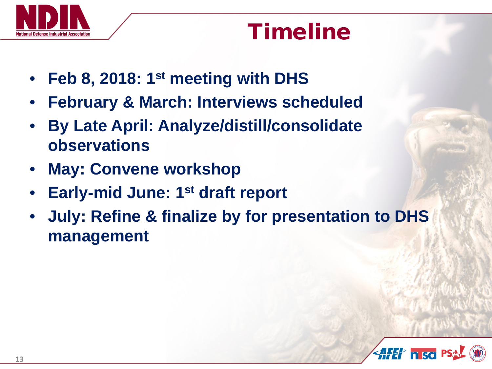

## Timeline

- **Feb 8, 2018: 1st meeting with DHS**
- **February & March: Interviews scheduled**
- **By Late April: Analyze/distill/consolidate observations**
- **May: Convene workshop**
- **Early-mid June: 1st draft report**
- **July: Refine & finalize by for presentation to DHS management**

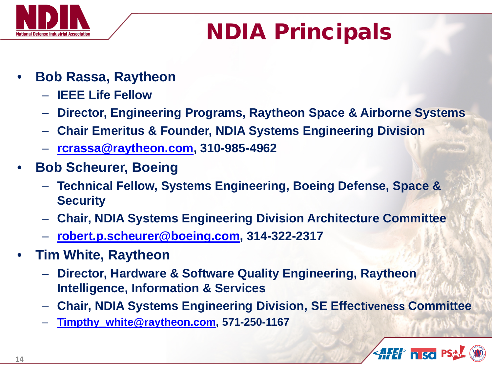

## NDIA Principals

- **Bob Rassa, Raytheon**
	- **IEEE Life Fellow**
	- **Director, Engineering Programs, Raytheon Space & Airborne Systems**
	- **Chair Emeritus & Founder, NDIA Systems Engineering Division**
	- **[rcrassa@raytheon.com](mailto:rcrassa@raytheon.com), 310-985-4962**
- **Bob Scheurer, Boeing**
	- **Technical Fellow, Systems Engineering, Boeing Defense, Space & Security**
	- **Chair, NDIA Systems Engineering Division Architecture Committee**
	- **[robert.p.scheurer@boeing.com](mailto:robert.p.scheurer@boeing.com), 314-322-2317**
- **Tim White, Raytheon**
	- **Director, Hardware & Software Quality Engineering, Raytheon Intelligence, Information & Services**
	- **Chair, NDIA Systems Engineering Division, SE Effectiveness Committee**
	- **[Timpthy\\_white@raytheon.com,](mailto:Timpthy_white@raytheon.com) 571-250-1167**

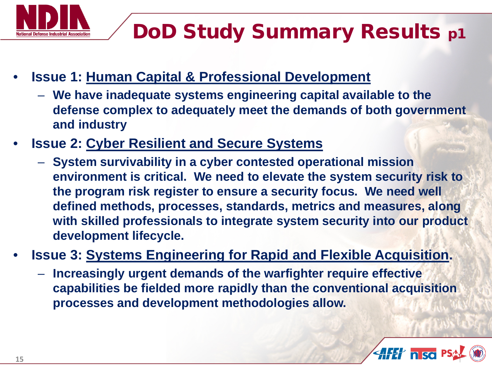

- **Issue 1: Human Capital & Professional Development**
	- **We have inadequate systems engineering capital available to the defense complex to adequately meet the demands of both government and industry**
- **Issue 2: Cyber Resilient and Secure Systems**
	- **System survivability in a cyber contested operational mission environment is critical. We need to elevate the system security risk to the program risk register to ensure a security focus. We need well defined methods, processes, standards, metrics and measures, along with skilled professionals to integrate system security into our product development lifecycle.**
- **Issue 3: Systems Engineering for Rapid and Flexible Acquisition.**
	- **Increasingly urgent demands of the warfighter require effective capabilities be fielded more rapidly than the conventional acquisition processes and development methodologies allow.**

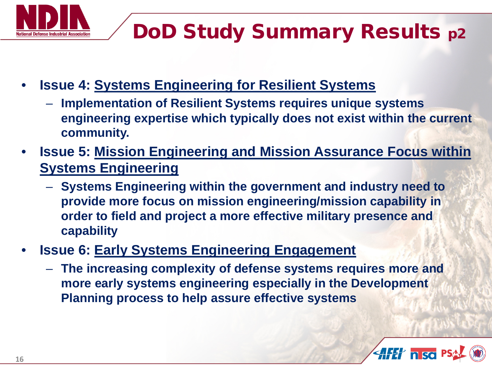

## DoD Study Summary Results p2

- **Issue 4: Systems Engineering for Resilient Systems**
	- **Implementation of Resilient Systems requires unique systems engineering expertise which typically does not exist within the current community.**
- **Issue 5: Mission Engineering and Mission Assurance Focus within Systems Engineering**
	- **Systems Engineering within the government and industry need to provide more focus on mission engineering/mission capability in order to field and project a more effective military presence and capability**
- **Issue 6: Early Systems Engineering Engagement** 
	- **The increasing complexity of defense systems requires more and more early systems engineering especially in the Development Planning process to help assure effective systems**

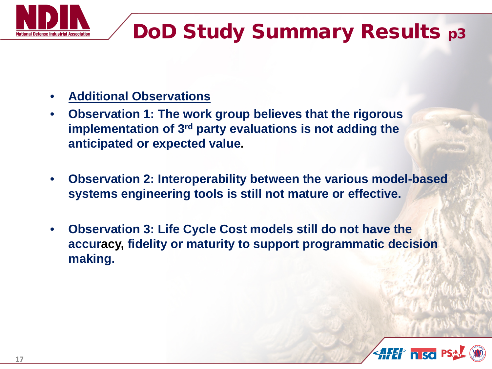

## DoD Study Summary Results p3

- **Additional Observations**
- **Observation 1: The work group believes that the rigorous implementation of 3rd party evaluations is not adding the anticipated or expected value.**
- **Observation 2: Interoperability between the various model-based systems engineering tools is still not mature or effective.**
- **Observation 3: Life Cycle Cost models still do not have the accuracy, fidelity or maturity to support programmatic decision making.**